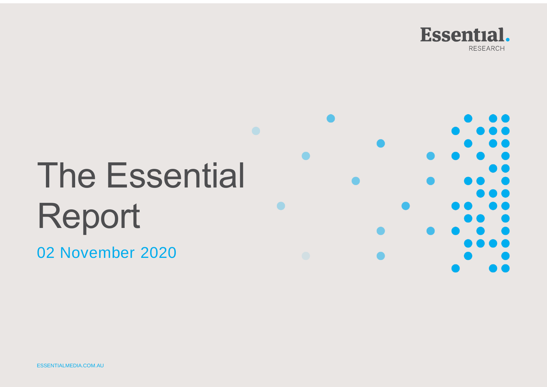

# The Essential Report

02 November 2020

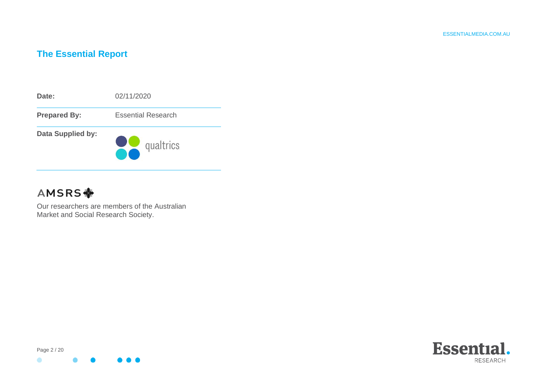# **The Essential Report**



# AMSRS **\***

Our researchers are members of the Australian Market and Social Research Society.



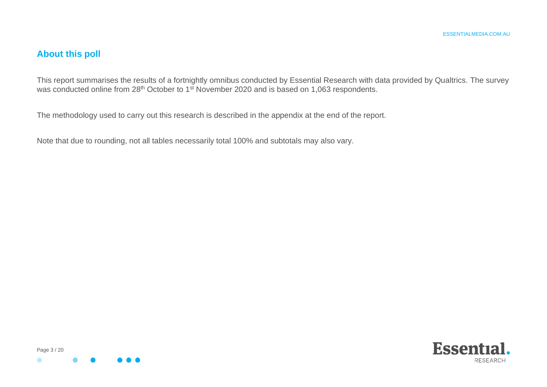# **About this poll**

This report summarises the results of a fortnightly omnibus conducted by Essential Research with data provided by Qualtrics. The survey was conducted online from 28<sup>th</sup> October to 1<sup>st</sup> November 2020 and is based on 1,063 respondents.

The methodology used to carry out this research is described in the appendix at the end of the report.

Note that due to rounding, not all tables necessarily total 100% and subtotals may also vary.



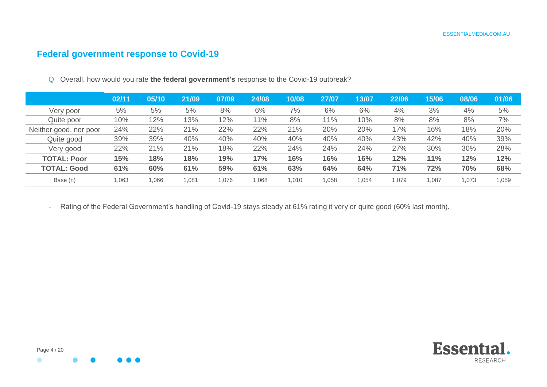# **Federal government response to Covid-19**

|                        | 02/11 | 05/10 | 21/09 | 07/09 | 24/08 | 10/08 | 27/07 | 13/07 | 22/06  | 15/06 | 08/06 | 01/06 |
|------------------------|-------|-------|-------|-------|-------|-------|-------|-------|--------|-------|-------|-------|
| Very poor              | 5%    | 5%    | 5%    | 8%    | 6%    | 7%    | 6%    | 6%    | 4%     | 3%    | 4%    | 5%    |
| Quite poor             | 10%   | 12%   | 13%   | 12%   | 11%   | 8%    | 11%   | 10%   | 8%     | 8%    | 8%    | 7%    |
| Neither good, nor poor | 24%   | 22%   | 21%   | 22%   | 22%   | 21%   | 20%   | 20%   | 17%    | 16%   | 18%   | 20%   |
| Quite good             | 39%   | 39%   | 40%   | 40%   | 40%   | 40%   | 40%   | 40%   | 43%    | 42%   | 40%   | 39%   |
| Very good              | 22%   | 21%   | 21%   | 18%   | 22%   | 24%   | 24%   | 24%   | 27%    | 30%   | 30%   | 28%   |
| <b>TOTAL: Poor</b>     | 15%   | 18%   | 18%   | 19%   | 17%   | 16%   | 16%   | 16%   | 12%    | 11%   | 12%   | 12%   |
| <b>TOTAL: Good</b>     | 61%   | 60%   | 61%   | 59%   | 61%   | 63%   | 64%   | 64%   | 71%    | 72%   | 70%   | 68%   |
| Base (n)               | 1,063 | 1,066 | 081.ا | 1,076 | 860,1 | 1,010 | 1,058 | 1,054 | 079, ا | 1,087 | 1,073 | 1,059 |

Q Overall, how would you rate **the federal government's** response to the Covid-19 outbreak?

- Rating of the Federal Government's handling of Covid-19 stays steady at 61% rating it very or quite good (60% last month).

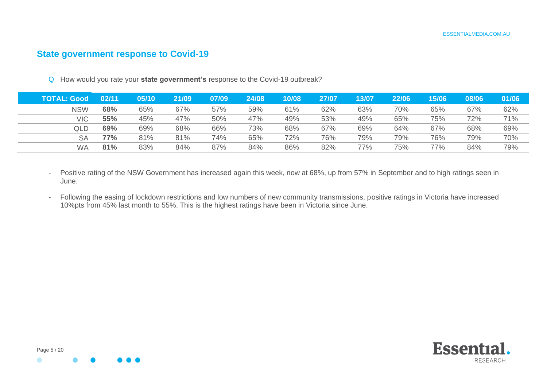#### **State government response to Covid-19**

Q How would you rate your **state government's** response to the Covid-19 outbreak?

| <b>TOTAL: Good</b> | 02/11 | 05/10 | 21/09 | 07/09 | 24/08 | 10/08 | 27/07 | 13/07 | 22/06 | 15/06 | 08/06 | 01/06 |
|--------------------|-------|-------|-------|-------|-------|-------|-------|-------|-------|-------|-------|-------|
| <b>NSW</b>         | 68%   | 65%   | 67%   | 57%   | 59%   | 61%   | 62%   | 63%   | 70%   | 65%   | 67%   | 62%   |
| VIC                | 55%   | 45%   | 47%   | 50%   | 47%   | 49%   | 53%   | 49%   | 65%   | 75%   | 72%   | 71%   |
| QLD                | 69%   | 69%   | 68%   | 66%   | 73%   | 68%   | 67%   | 69%   | 64%   | 67%   | 68%   | 69%   |
| SΑ                 | 77%   | 81%   | 81%   | 74%   | 65%   | 72%   | 76%   | 79%   | 79%   | 76%   | 79%   | 70%   |
| <b>WA</b>          | 81%   | 83%   | 84%   | 87%   | 84%   | 86%   | 82%   | 77%   | 75%   | 77%   | 84%   | 79%   |

- Positive rating of the NSW Government has increased again this week, now at 68%, up from 57% in September and to high ratings seen in June.
- Following the easing of lockdown restrictions and low numbers of new community transmissions, positive ratings in Victoria have increased 10%pts from 45% last month to 55%. This is the highest ratings have been in Victoria since June.



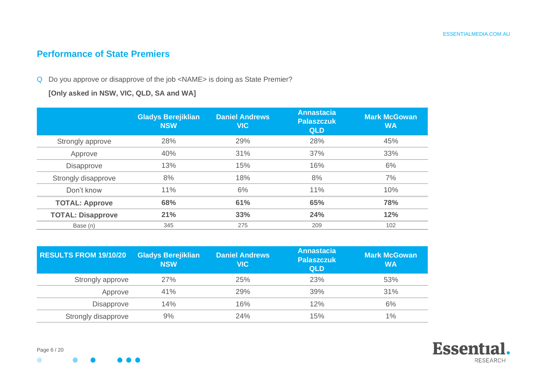## **Performance of State Premiers**

#### Q Do you approve or disapprove of the job <NAME> is doing as State Premier?

**[Only asked in NSW, VIC, QLD, SA and WA]**

|                          | <b>Gladys Berejiklian</b><br><b>NSW</b> | <b>Daniel Andrews</b><br><b>VIC</b> | <b>Annastacia</b><br><b>Palaszczuk</b><br><b>QLD</b> | <b>Mark McGowan</b><br><b>WA</b> |
|--------------------------|-----------------------------------------|-------------------------------------|------------------------------------------------------|----------------------------------|
| Strongly approve         | 28%                                     | 29%                                 | 28%                                                  | 45%                              |
| Approve                  | 40%                                     | 31%                                 | 37%                                                  | 33%                              |
| Disapprove               | 13%                                     | 15%                                 | 16%                                                  | 6%                               |
| Strongly disapprove      | 8%                                      | 18%                                 | 8%                                                   | 7%                               |
| Don't know               | 11%                                     | 6%                                  | 11%                                                  | 10%                              |
| <b>TOTAL: Approve</b>    | 68%                                     | 61%                                 | 65%                                                  | 78%                              |
| <b>TOTAL: Disapprove</b> | 21%                                     | 33%                                 | 24%                                                  | 12%                              |
| Base (n)                 | 345                                     | 275                                 | 209                                                  | 102                              |

| <b>RESULTS FROM 19/10/20</b> | <b>Gladys Berejiklian</b><br><b>NSW</b> | <b>Daniel Andrews</b><br><b>NIC</b> | <b>Annastacia</b><br><b>Palaszczuk</b><br><b>QLD</b> | <b>Mark McGowan</b><br><b>WA</b> |
|------------------------------|-----------------------------------------|-------------------------------------|------------------------------------------------------|----------------------------------|
| Strongly approve             | 27%                                     | 25%                                 | 23%                                                  | 53%                              |
| Approve                      | 41%                                     | 29%                                 | 39%                                                  | 31%                              |
| Disapprove                   | 14%                                     | 16%                                 | 12%                                                  | 6%                               |
| Strongly disapprove          | 9%                                      | 24%                                 | 15%                                                  | 1%                               |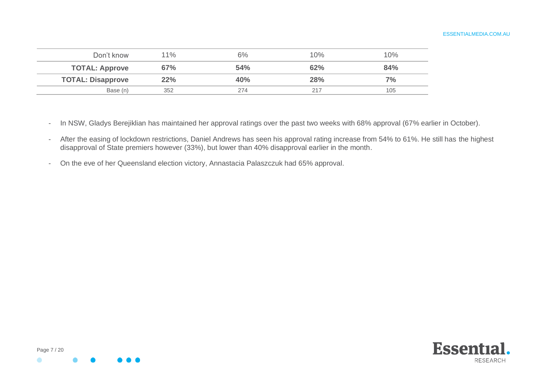| Don't know               | $11\%$ | 6%  | 10% | 10% |
|--------------------------|--------|-----|-----|-----|
| <b>TOTAL: Approve</b>    | 67%    | 54% | 62% | 84% |
| <b>TOTAL: Disapprove</b> | 22%    | 40% | 28% | 7%  |
| Base (n)                 | 352    | 274 |     | 105 |

- In NSW, Gladys Berejiklian has maintained her approval ratings over the past two weeks with 68% approval (67% earlier in October).
- After the easing of lockdown restrictions, Daniel Andrews has seen his approval rating increase from 54% to 61%. He still has the highest disapproval of State premiers however (33%), but lower than 40% disapproval earlier in the month.
- On the eve of her Queensland election victory, Annastacia Palaszczuk had 65% approval.



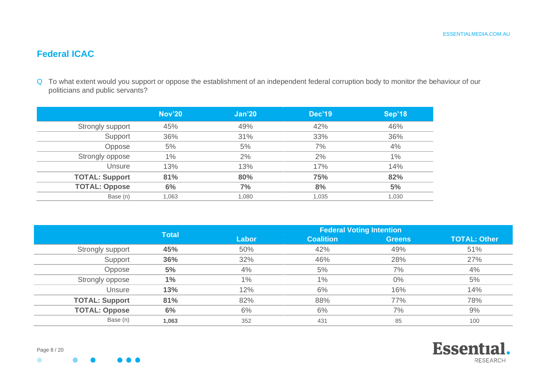# **Federal ICAC**

Q To what extent would you support or oppose the establishment of an independent federal corruption body to monitor the behaviour of our politicians and public servants?

|                       | <b>Nov'20</b> | Jan'20 | <b>Dec'19</b> | Sep'18 |
|-----------------------|---------------|--------|---------------|--------|
| Strongly support      | 45%           | 49%    | 42%           | 46%    |
| Support               | 36%           | 31%    | 33%           | 36%    |
| Oppose                | 5%            | 5%     | 7%            | 4%     |
| Strongly oppose       | 1%            | 2%     | 2%            | $1\%$  |
| Unsure                | 13%           | 13%    | 17%           | 14%    |
| <b>TOTAL: Support</b> | 81%           | 80%    | 75%           | 82%    |
| <b>TOTAL: Oppose</b>  | 6%            | 7%     | 8%            | 5%     |
| Base (n)              | 1,063         | 1,080  | 1,035         | 1,030  |

|                       | <b>Total</b> | <b>Federal Voting Intention</b> |                  |               |                     |  |  |  |  |
|-----------------------|--------------|---------------------------------|------------------|---------------|---------------------|--|--|--|--|
|                       |              | Labor                           | <b>Coalition</b> | <b>Greens</b> | <b>TOTAL: Other</b> |  |  |  |  |
| Strongly support      | 45%          | 50%                             | 42%              | 49%           | 51%                 |  |  |  |  |
| Support               | 36%          | 32%                             | 46%              | 28%           | 27%                 |  |  |  |  |
| Oppose                | 5%           | 4%                              | 5%               | 7%            | 4%                  |  |  |  |  |
| Strongly oppose       | $1\%$        | $1\%$                           | 1%               | $0\%$         | 5%                  |  |  |  |  |
| Unsure                | 13%          | 12%                             | 6%               | 16%           | 14%                 |  |  |  |  |
| <b>TOTAL: Support</b> | 81%          | 82%                             | 88%              | 77%           | 78%                 |  |  |  |  |
| <b>TOTAL: Oppose</b>  | 6%           | 6%                              | 6%               | 7%            | 9%                  |  |  |  |  |
| Base (n)              | 1,063        | 352                             | 431              | 85            | 100                 |  |  |  |  |

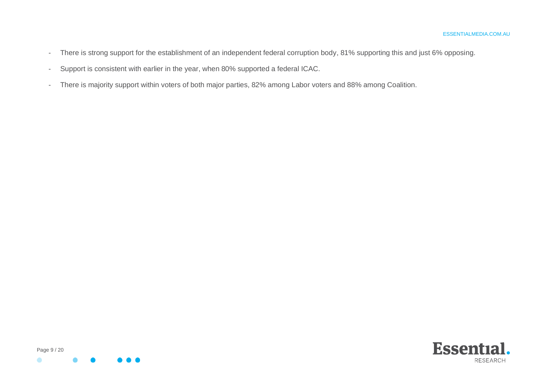- There is strong support for the establishment of an independent federal corruption body, 81% supporting this and just 6% opposing.
- Support is consistent with earlier in the year, when 80% supported a federal ICAC.
- There is majority support within voters of both major parties, 82% among Labor voters and 88% among Coalition.



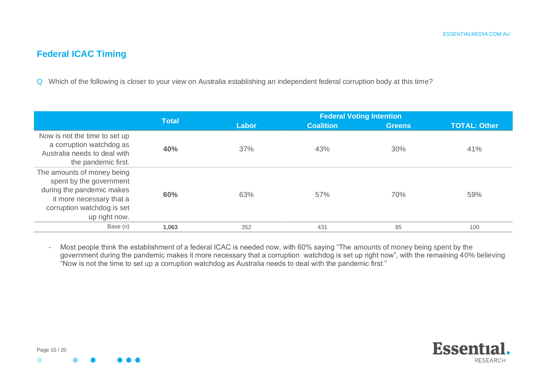# **Federal ICAC Timing**

Q Which of the following is closer to your view on Australia establishing an independent federal corruption body at this time?

|                                                                                                                                                               | <b>Total</b> |       | <b>Federal Voting Intention</b> |               |                     |
|---------------------------------------------------------------------------------------------------------------------------------------------------------------|--------------|-------|---------------------------------|---------------|---------------------|
|                                                                                                                                                               |              | Labor | <b>Coalition</b>                | <b>Greens</b> | <b>TOTAL: Other</b> |
| Now is not the time to set up<br>a corruption watchdog as<br>Australia needs to deal with<br>the pandemic first.                                              | 40%          | 37%   | 43%                             | 30%           | 41%                 |
| The amounts of money being<br>spent by the government<br>during the pandemic makes<br>it more necessary that a<br>corruption watchdog is set<br>up right now. | 60%          | 63%   | 57%                             | 70%           | 59%                 |
| Base (n)                                                                                                                                                      | 1,063        | 352   | 431                             | 85            | 100                 |

- Most people think the establishment of a federal ICAC is needed now, with 60% saying "The amounts of money being spent by the government during the pandemic makes it more necessary that a corruption watchdog is set up right now", with the remaining 40% believing "Now is not the time to set up a corruption watchdog as Australia needs to deal with the pandemic first."

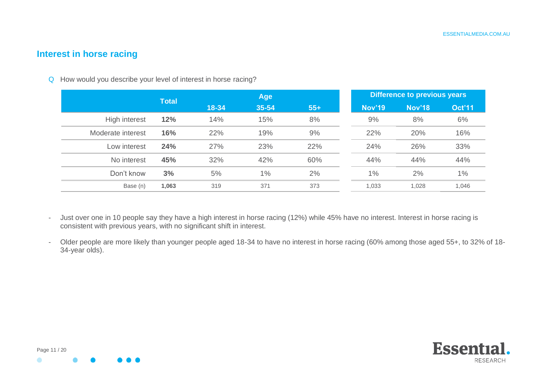## **Interest in horse racing**

Q How would you describe your level of interest in horse racing?

|                   | <b>Total</b> | Age   |       |       |  | Difference to previous years |               |               |  |
|-------------------|--------------|-------|-------|-------|--|------------------------------|---------------|---------------|--|
|                   |              | 18-34 | 35-54 | $55+$ |  | <b>Nov'19</b>                | <b>Nov'18</b> | <b>Oct'11</b> |  |
| High interest     | 12%          | 14%   | 15%   | 8%    |  | 9%                           | 8%            | 6%            |  |
| Moderate interest | 16%          | 22%   | 19%   | 9%    |  | 22%                          | 20%           | 16%           |  |
| Low interest      | 24%          | 27%   | 23%   | 22%   |  | 24%                          | 26%           | 33%           |  |
| No interest       | 45%          | 32%   | 42%   | 60%   |  | 44%                          | 44%           | 44%           |  |
| Don't know        | 3%           | 5%    | 1%    | 2%    |  | 1%                           | 2%            | 1%            |  |
| Base (n)          | 1,063        | 319   | 371   | 373   |  | 1,033                        | 1,028         | 1,046         |  |

- Just over one in 10 people say they have a high interest in horse racing (12%) while 45% have no interest. Interest in horse racing is consistent with previous years, with no significant shift in interest.
- Older people are more likely than younger people aged 18-34 to have no interest in horse racing (60% among those aged 55+, to 32% of 18- 34-year olds).

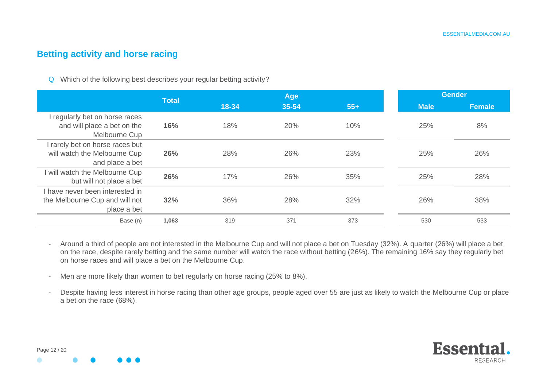#### **Betting activity and horse racing**

Q Which of the following best describes your regular betting activity?

|                                                                                    | <b>Total</b> |       | <b>Age</b> |       | Gender      |        |  |
|------------------------------------------------------------------------------------|--------------|-------|------------|-------|-------------|--------|--|
|                                                                                    |              | 18-34 | 35-54      | $55+$ | <b>Male</b> | Female |  |
| I regularly bet on horse races<br>and will place a bet on the<br>Melbourne Cup     | 16%          | 18%   | 20%        | 10%   | 25%         | 8%     |  |
| I rarely bet on horse races but<br>will watch the Melbourne Cup<br>and place a bet | 26%          | 28%   | 26%        | 23%   | 25%         | 26%    |  |
| will watch the Melbourne Cup<br>but will not place a bet                           | 26%          | 17%   | 26%        | 35%   | 25%         | 28%    |  |
| I have never been interested in<br>the Melbourne Cup and will not<br>place a bet   | 32%          | 36%   | 28%        | 32%   | 26%         | 38%    |  |
| Base (n)                                                                           | 1.063        | 319   | 371        | 373   | 530         | 533    |  |

- Around a third of people are not interested in the Melbourne Cup and will not place a bet on Tuesday (32%). A quarter (26%) will place a bet on the race, despite rarely betting and the same number will watch the race without betting (26%). The remaining 16% say they regularly bet on horse races and will place a bet on the Melbourne Cup.
- Men are more likely than women to bet regularly on horse racing (25% to 8%).
- Despite having less interest in horse racing than other age groups, people aged over 55 are just as likely to watch the Melbourne Cup or place a bet on the race (68%).

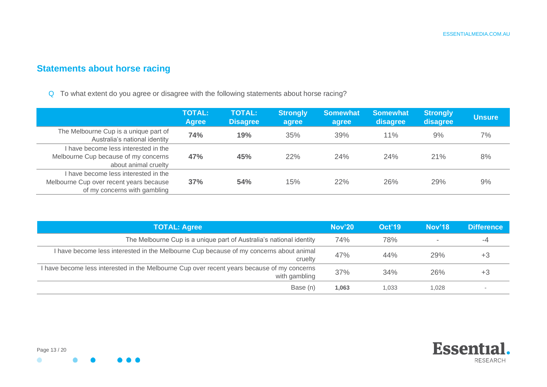# **Statements about horse racing**

Q To what extent do you agree or disagree with the following statements about horse racing?

|                                                                                                                 | <b>TOTAL:</b><br>Agree | <b>TOTAL:</b><br><b>Disagree</b> | <b>Strongly</b><br>agree | <b>Somewhat</b><br>agree | <b>Somewhat</b><br>disagree | <b>Strongly</b><br>disagree | <b>Unsure</b> |
|-----------------------------------------------------------------------------------------------------------------|------------------------|----------------------------------|--------------------------|--------------------------|-----------------------------|-----------------------------|---------------|
| The Melbourne Cup is a unique part of<br>Australia's national identity                                          | 74%                    | 19%                              | 35%                      | 39%                      | 11%                         | $9\%$                       | 7%            |
| I have become less interested in the<br>Melbourne Cup because of my concerns<br>about animal cruelty            | 47%                    | 45%                              | 22%                      | 24%                      | 24%                         | 21%                         | 8%            |
| I have become less interested in the<br>Melbourne Cup over recent years because<br>of my concerns with gambling | 37%                    | 54%                              | 15%                      | 22%                      | 26%                         | 29%                         | 9%            |

| <b>TOTAL: Agree</b>                                                                                          | <b>Nov'20</b> | Oct'19 | <b>Nov'18</b> | <b>Difference</b> |
|--------------------------------------------------------------------------------------------------------------|---------------|--------|---------------|-------------------|
| The Melbourne Cup is a unique part of Australia's national identity                                          | 74%           | 78%    |               | -4                |
| I have become less interested in the Melbourne Cup because of my concerns about animal<br>cruelty            | 47%           | 44%    | 29%           | +3                |
| I have become less interested in the Melbourne Cup over recent years because of my concerns<br>with gambling | 37%           | 34%    | 26%           | +3                |
| Base (n)                                                                                                     | 1,063         | 1,033  | 1,028         |                   |

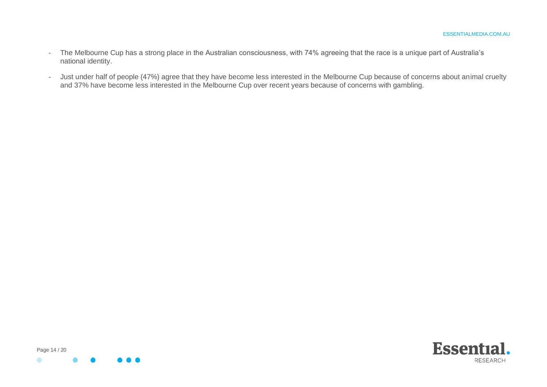- The Melbourne Cup has a strong place in the Australian consciousness, with 74% agreeing that the race is a unique part of Australia's national identity.
- Just under half of people (47%) agree that they have become less interested in the Melbourne Cup because of concerns about animal cruelty and 37% have become less interested in the Melbourne Cup over recent years because of concerns with gambling.



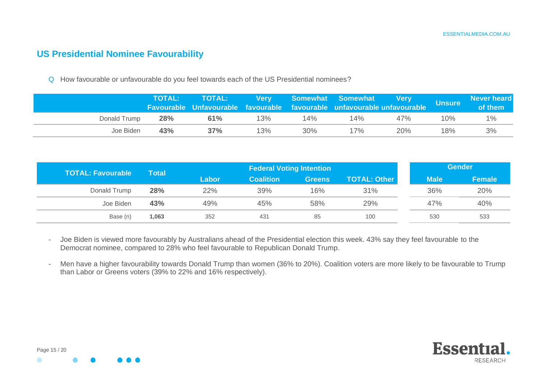#### **US Presidential Nominee Favourability**

Q How favourable or unfavourable do you feel towards each of the US Presidential nominees?

|              | <b>TOTAL:</b> | l TOTAL:  Very  Somewhat Somewhat  Very <sub>l</sub><br>Favourable Unfavourable favourable favourable unfavourable unfavourable |     |        |     |     | Unsure <b>\</b> | <b>Never heard</b><br>of them |
|--------------|---------------|---------------------------------------------------------------------------------------------------------------------------------|-----|--------|-----|-----|-----------------|-------------------------------|
| Donald Trump | <b>28%</b>    | 61%                                                                                                                             | 13% | $14\%$ | 14% | 47% | 10%             | $1\%$                         |
| Joe Biden    | 43%           | 37%                                                                                                                             | 13% | 30%    | 17% | 20% | 18%             | 3%                            |

| <b>TOTAL: Favourable</b> | <b>Total</b> |       | <b>Federal Voting Intention</b> |               |                     |             | <b>Gender</b> |  |  |
|--------------------------|--------------|-------|---------------------------------|---------------|---------------------|-------------|---------------|--|--|
|                          |              | Labor | <b>Coalition</b>                | <b>Greens</b> | <b>TOTAL: Other</b> | <b>Male</b> | <b>Female</b> |  |  |
| Donald Trump             | 28%          | 22%   | 39%                             | 16%           | 31%                 | 36%         | 20%           |  |  |
| Joe Biden                | 43%          | 49%   | 45%                             | 58%           | 29%                 | 47%         | 40%           |  |  |
| Base (n)                 | 1,063        | 352   | 431                             | 85            | 100                 | 530         | 533           |  |  |

- Joe Biden is viewed more favourably by Australians ahead of the Presidential election this week. 43% say they feel favourable to the Democrat nominee, compared to 28% who feel favourable to Republican Donald Trump.
- Men have a higher favourability towards Donald Trump than women (36% to 20%). Coalition voters are more likely to be favourable to Trump than Labor or Greens voters (39% to 22% and 16% respectively).

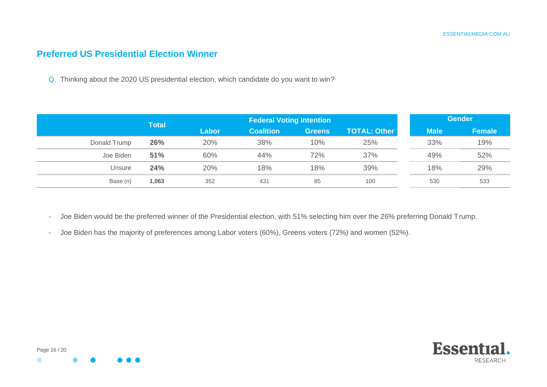#### **Preferred US Presidential Election Winner**

Q Thinking about the 2020 US presidential election, which candidate do you want to win?

|              | <b>Total</b> |       | <b>Federal Voting Intention</b> |               |                     |             | <b>Gender</b> |  |  |
|--------------|--------------|-------|---------------------------------|---------------|---------------------|-------------|---------------|--|--|
|              |              | Labor | <b>Coalition</b>                | <b>Greens</b> | <b>TOTAL: Other</b> | <b>Male</b> | Female        |  |  |
| Donald Trump | 26%          | 20%   | 38%                             | 10%           | 25%                 | 33%         | 19%           |  |  |
| Joe Biden    | 51%          | 60%   | 44%                             | 72%           | 37%                 | 49%         | 52%           |  |  |
| Unsure       | 24%          | 20%   | 18%                             | 18%           | 39%                 | 18%         | 29%           |  |  |
| Base (n)     | 1,063        | 352   | 431                             | 85            | 100                 | 530         | 533           |  |  |

- Joe Biden would be the preferred winner of the Presidential election, with 51% selecting him over the 26% preferring Donald Trump.
- Joe Biden has the majority of preferences among Labor voters (60%), Greens voters (72%) and women (52%).

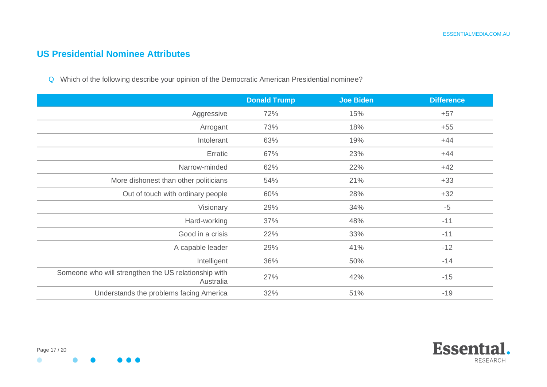### **US Presidential Nominee Attributes**

Q Which of the following describe your opinion of the Democratic American Presidential nominee?

|                                                                   | <b>Donald Trump</b> | <b>Joe Biden</b> | <b>Difference</b> |
|-------------------------------------------------------------------|---------------------|------------------|-------------------|
| Aggressive                                                        | 72%                 | 15%              | $+57$             |
| Arrogant                                                          | 73%                 | 18%              | $+55$             |
| Intolerant                                                        | 63%                 | 19%              | $+44$             |
| Erratic                                                           | 67%                 | 23%              | $+44$             |
| Narrow-minded                                                     | 62%                 | 22%              | $+42$             |
| More dishonest than other politicians                             | 54%                 | 21%              | $+33$             |
| Out of touch with ordinary people                                 | 60%                 | 28%              | $+32$             |
| Visionary                                                         | 29%                 | 34%              | $-5$              |
| Hard-working                                                      | 37%                 | 48%              | $-11$             |
| Good in a crisis                                                  | 22%                 | 33%              | $-11$             |
| A capable leader                                                  | 29%                 | 41%              | $-12$             |
| Intelligent                                                       | 36%                 | 50%              | $-14$             |
| Someone who will strengthen the US relationship with<br>Australia | 27%                 | 42%              | $-15$             |
| Understands the problems facing America                           | 32%                 | 51%              | $-19$             |



 $\bullet$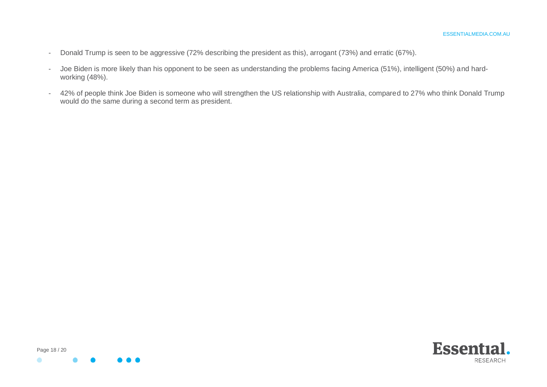- Donald Trump is seen to be aggressive (72% describing the president as this), arrogant (73%) and erratic (67%).
- Joe Biden is more likely than his opponent to be seen as understanding the problems facing America (51%), intelligent (50%) and hardworking (48%).
- 42% of people think Joe Biden is someone who will strengthen the US relationship with Australia, compared to 27% who think Donald Trump would do the same during a second term as president.



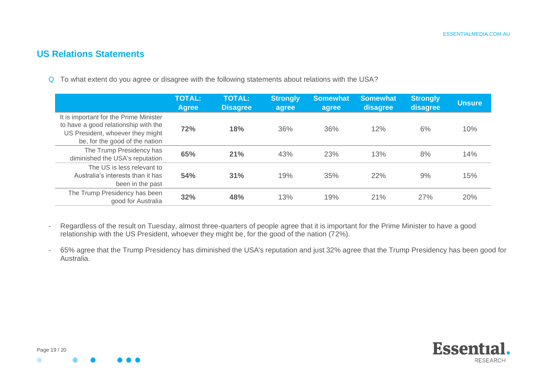#### **US Relations Statements**

Q To what extent do you agree or disagree with the following statements about relations with the USA?

|                                                                                                                                                      | <b>TOTAL:</b><br><b>Agree</b> | <b>TOTAL:</b><br><b>Disagree</b> | <b>Strongly</b><br>agree | <b>Somewhat</b><br>agree | <b>Somewhat</b><br>disagree | <b>Strongly</b><br>disagree | <b>Unsure</b> |
|------------------------------------------------------------------------------------------------------------------------------------------------------|-------------------------------|----------------------------------|--------------------------|--------------------------|-----------------------------|-----------------------------|---------------|
| It is important for the Prime Minister<br>to have a good relationship with the<br>US President, whoever they might<br>be, for the good of the nation | 72%                           | 18%                              | 36%                      | 36%                      | 12%                         | 6%                          | 10%           |
| The Trump Presidency has<br>diminished the USA's reputation                                                                                          | 65%                           | 21%                              | 43%                      | 23%                      | 13%                         | 8%                          | 14%           |
| The US is less relevant to<br>Australia's interests than it has<br>been in the past                                                                  | 54%                           | 31%                              | 19%                      | 35%                      | 22%                         | 9%                          | 15%           |
| The Trump Presidency has been<br>good for Australia                                                                                                  | 32%                           | 48%                              | 13%                      | 19%                      | 21%                         | 27%                         | 20%           |

- Regardless of the result on Tuesday, almost three-quarters of people agree that it is important for the Prime Minister to have a good relationship with the US President, whoever they might be, for the good of the nation (72%).

- 65% agree that the Trump Presidency has diminished the USA's reputation and just 32% agree that the Trump Presidency has been good for Australia.